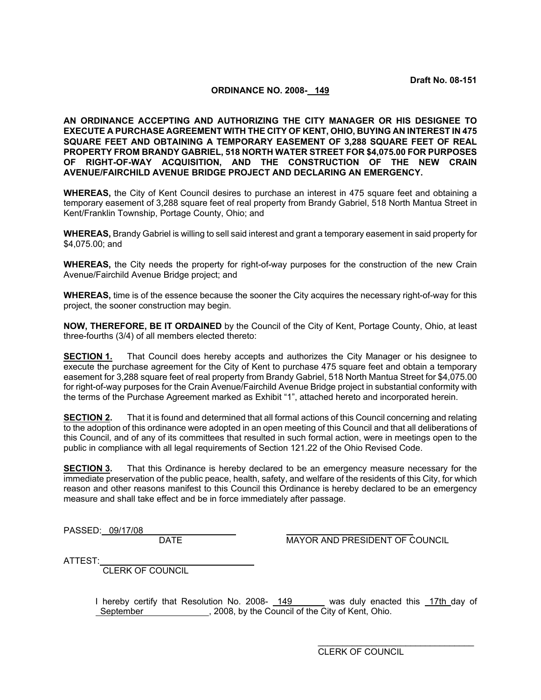## **ORDINANCE NO. 2008- 149**

**AN ORDINANCE ACCEPTING AND AUTHORIZING THE CITY MANAGER OR HIS DESIGNEE TO EXECUTE A PURCHASE AGREEMENT WITH THE CITY OF KENT, OHIO, BUYING AN INTEREST IN 475 SQUARE FEET AND OBTAINING A TEMPORARY EASEMENT OF 3,288 SQUARE FEET OF REAL PROPERTY FROM BRANDY GABRIEL, 518 NORTH WATER STREET FOR \$4,075.00 FOR PURPOSES OF RIGHT-OF-WAY ACQUISITION, AND THE CONSTRUCTION OF THE NEW CRAIN AVENUE/FAIRCHILD AVENUE BRIDGE PROJECT AND DECLARING AN EMERGENCY.** 

**WHEREAS,** the City of Kent Council desires to purchase an interest in 475 square feet and obtaining a temporary easement of 3,288 square feet of real property from Brandy Gabriel, 518 North Mantua Street in Kent/Franklin Township, Portage County, Ohio; and

**WHEREAS,** Brandy Gabriel is willing to sell said interest and grant a temporary easement in said property for \$4,075.00; and

**WHEREAS,** the City needs the property for right-of-way purposes for the construction of the new Crain Avenue/Fairchild Avenue Bridge project; and

**WHEREAS,** time is of the essence because the sooner the City acquires the necessary right-of-way for this project, the sooner construction may begin.

**NOW, THEREFORE, BE IT ORDAINED** by the Council of the City of Kent, Portage County, Ohio, at least three-fourths (3/4) of all members elected thereto:

**SECTION 1.** That Council does hereby accepts and authorizes the City Manager or his designee to execute the purchase agreement for the City of Kent to purchase 475 square feet and obtain a temporary easement for 3,288 square feet of real property from Brandy Gabriel, 518 North Mantua Street for \$4,075.00 for right-of-way purposes for the Crain Avenue/Fairchild Avenue Bridge project in substantial conformity with the terms of the Purchase Agreement marked as Exhibit "1", attached hereto and incorporated herein.

**SECTION 2.** That it is found and determined that all formal actions of this Council concerning and relating to the adoption of this ordinance were adopted in an open meeting of this Council and that all deliberations of this Council, and of any of its committees that resulted in such formal action, were in meetings open to the public in compliance with all legal requirements of Section 121.22 of the Ohio Revised Code.

**SECTION 3.** That this Ordinance is hereby declared to be an emergency measure necessary for the immediate preservation of the public peace, health, safety, and welfare of the residents of this City, for which reason and other reasons manifest to this Council this Ordinance is hereby declared to be an emergency measure and shall take effect and be in force immediately after passage.

PASSED: 09/17/08

DATE MAYOR AND PRESIDENT OF COUNCIL

ATTEST:

CLERK OF COUNCIL

I hereby certify that Resolution No. 2008- 149 was duly enacted this 17th day of September , 2008, by the Council of the City of Kent, Ohio.

> \_\_\_\_\_\_\_\_\_\_\_\_\_\_\_\_\_\_\_\_\_\_\_\_\_\_\_\_\_\_\_\_ CLERK OF COUNCIL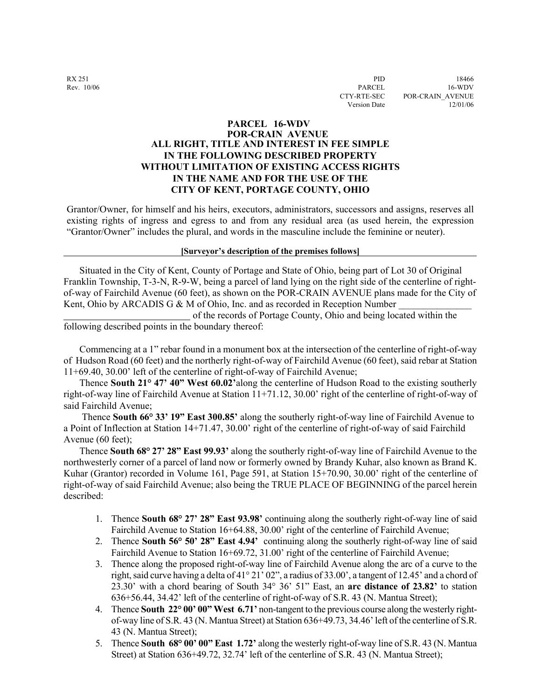# **PARCEL 16-WDV POR-CRAIN AVENUE ALL RIGHT, TITLE AND INTEREST IN FEE SIMPLE IN THE FOLLOWING DESCRIBED PROPERTY WITHOUT LIMITATION OF EXISTING ACCESS RIGHTS IN THE NAME AND FOR THE USE OF THE CITY OF KENT, PORTAGE COUNTY, OHIO**

Grantor/Owner, for himself and his heirs, executors, administrators, successors and assigns, reserves all existing rights of ingress and egress to and from any residual area (as used herein, the expression "Grantor/Owner" includes the plural, and words in the masculine include the feminine or neuter).

### **[Surveyor's description of the premises follows]**

 Situated in the City of Kent, County of Portage and State of Ohio, being part of Lot 30 of Original Franklin Township, T-3-N, R-9-W, being a parcel of land lying on the right side of the centerline of rightof-way of Fairchild Avenue (60 feet), as shown on the POR-CRAIN AVENUE plans made for the City of Kent, Ohio by ARCADIS G & M of Ohio, Inc. and as recorded in Reception Number

 of the records of Portage County, Ohio and being located within the following described points in the boundary thereof:

 Commencing at a 1" rebar found in a monument box at the intersection of the centerline of right-of-way of Hudson Road (60 feet) and the northerly right-of-way of Fairchild Avenue (60 feet), said rebar at Station 11+69.40, 30.00' left of the centerline of right-of-way of Fairchild Avenue;

 Thence **South 21° 47' 40" West 60.02'**along the centerline of Hudson Road to the existing southerly right-of-way line of Fairchild Avenue at Station 11+71.12, 30.00' right of the centerline of right-of-way of said Fairchild Avenue;

 Thence **South 66° 33' 19" East 300.85'** along the southerly right-of-way line of Fairchild Avenue to a Point of Inflection at Station 14+71.47, 30.00' right of the centerline of right-of-way of said Fairchild Avenue (60 feet);

 Thence **South 68° 27' 28" East 99.93'** along the southerly right-of-way line of Fairchild Avenue to the northwesterly corner of a parcel of land now or formerly owned by Brandy Kuhar, also known as Brand K. Kuhar (Grantor) recorded in Volume 161, Page 591, at Station 15+70.90, 30.00' right of the centerline of right-of-way of said Fairchild Avenue; also being the TRUE PLACE OF BEGINNING of the parcel herein described:

- 1. Thence **South 68° 27' 28" East 93.98'** continuing along the southerly right-of-way line of said Fairchild Avenue to Station 16+64.88, 30.00' right of the centerline of Fairchild Avenue;
- 2. Thence **South 56° 50' 28" East 4.94'** continuing along the southerly right-of-way line of said Fairchild Avenue to Station 16+69.72, 31.00' right of the centerline of Fairchild Avenue;
- 3. Thence along the proposed right-of-way line of Fairchild Avenue along the arc of a curve to the right, said curve having a delta of 41° 21' 02", a radius of 33.00', a tangent of 12.45' and a chord of 23.30' with a chord bearing of South 34° 36' 51" East, an **arc distance of 23.82'** to station 636+56.44, 34.42' left of the centerline of right-of-way of S.R. 43 (N. Mantua Street);
- 4. Thence **South 22° 00' 00" West 6.71'** non-tangent to the previous course along the westerly rightof-way line of S.R. 43 (N. Mantua Street) at Station 636+49.73, 34.46' left of the centerline of S.R. 43 (N. Mantua Street);
- 5. Thence **South 68° 00' 00" East 1.72'** along the westerly right-of-way line of S.R. 43 (N. Mantua Street) at Station 636+49.72, 32.74' left of the centerline of S.R. 43 (N. Mantua Street);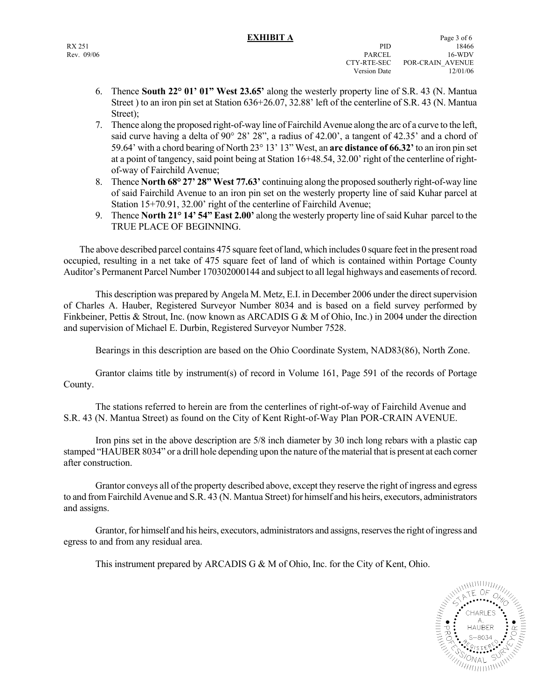- 6. Thence **South 22° 01' 01" West 23.65'** along the westerly property line of S.R. 43 (N. Mantua Street ) to an iron pin set at Station 636+26.07, 32.88' left of the centerline of S.R. 43 (N. Mantua Street);
- 7. Thence along the proposed right-of-way line of Fairchild Avenue along the arc of a curve to the left, said curve having a delta of 90° 28' 28", a radius of 42.00', a tangent of 42.35' and a chord of 59.64' with a chord bearing of North 23° 13' 13" West, an **arc distance of 66.32'** to an iron pin set at a point of tangency, said point being at Station 16+48.54, 32.00' right of the centerline of rightof-way of Fairchild Avenue;
- 8. Thence **North 68° 27' 28" West 77.63'** continuing along the proposed southerly right-of-way line of said Fairchild Avenue to an iron pin set on the westerly property line of said Kuhar parcel at Station 15+70.91, 32.00' right of the centerline of Fairchild Avenue;
- 9. Thence **North 21° 14' 54" East 2.00'** along the westerly property line of said Kuhar parcel to the TRUE PLACE OF BEGINNING.

 The above described parcel contains 475 square feet of land, which includes 0 square feet in the present road occupied, resulting in a net take of 475 square feet of land of which is contained within Portage County Auditor's Permanent Parcel Number 170302000144 and subject to all legal highways and easements of record.

 This description was prepared by Angela M. Metz, E.I. in December 2006 under the direct supervision of Charles A. Hauber, Registered Surveyor Number 8034 and is based on a field survey performed by Finkbeiner, Pettis & Strout, Inc. (now known as ARCADIS G & M of Ohio, Inc.) in 2004 under the direction and supervision of Michael E. Durbin, Registered Surveyor Number 7528.

Bearings in this description are based on the Ohio Coordinate System, NAD83(86), North Zone.

 Grantor claims title by instrument(s) of record in Volume 161, Page 591 of the records of Portage County.

 The stations referred to herein are from the centerlines of right-of-way of Fairchild Avenue and S.R. 43 (N. Mantua Street) as found on the City of Kent Right-of-Way Plan POR-CRAIN AVENUE.

 Iron pins set in the above description are 5/8 inch diameter by 30 inch long rebars with a plastic cap stamped "HAUBER 8034" or a drill hole depending upon the nature of the material that is present at each corner after construction.

 Grantor conveys all of the property described above, except they reserve the right of ingress and egress to and from Fairchild Avenue and S.R. 43 (N. Mantua Street) for himself and his heirs, executors, administrators and assigns.

 Grantor, for himself and his heirs, executors, administrators and assigns, reserves the right of ingress and egress to and from any residual area.

This instrument prepared by ARCADIS G & M of Ohio, Inc. for the City of Kent, Ohio.

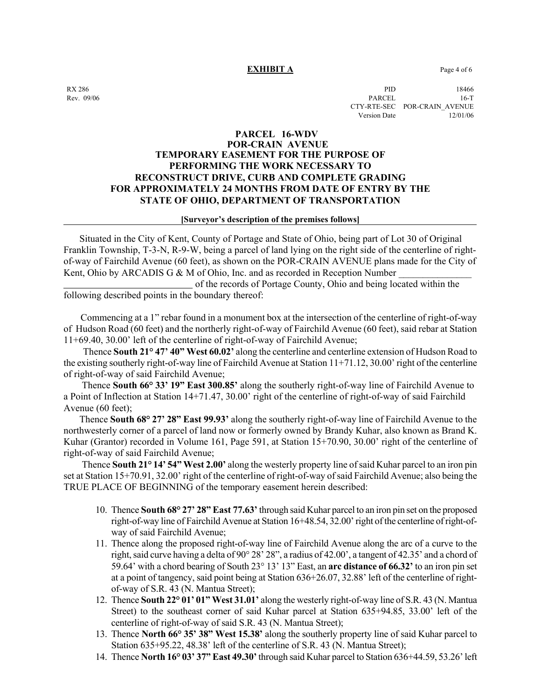### **EXHIBIT A** Page 4 of 6

 $\rm RX 286$  PID 18466 Rev. 09/06 PARCEL 16-T CTY-RTE-SEC POR-CRAIN\_AVENUE Version Date 12/01/06

# **PARCEL 16-WDV POR-CRAIN AVENUE TEMPORARY EASEMENT FOR THE PURPOSE OF PERFORMING THE WORK NECESSARY TO RECONSTRUCT DRIVE, CURB AND COMPLETE GRADING FOR APPROXIMATELY 24 MONTHS FROM DATE OF ENTRY BY THE STATE OF OHIO, DEPARTMENT OF TRANSPORTATION**

### **[Surveyor's description of the premises follows]**

 Situated in the City of Kent, County of Portage and State of Ohio, being part of Lot 30 of Original Franklin Township, T-3-N, R-9-W, being a parcel of land lying on the right side of the centerline of rightof-way of Fairchild Avenue (60 feet), as shown on the POR-CRAIN AVENUE plans made for the City of Kent, Ohio by ARCADIS G & M of Ohio, Inc. and as recorded in Reception Number

 of the records of Portage County, Ohio and being located within the following described points in the boundary thereof:

 Commencing at a 1" rebar found in a monument box at the intersection of the centerline of right-of-way of Hudson Road (60 feet) and the northerly right-of-way of Fairchild Avenue (60 feet), said rebar at Station 11+69.40, 30.00' left of the centerline of right-of-way of Fairchild Avenue;

 Thence **South 21° 47' 40" West 60.02'** along the centerline and centerline extension of Hudson Road to the existing southerly right-of-way line of Fairchild Avenue at Station 11+71.12, 30.00' right of the centerline of right-of-way of said Fairchild Avenue;

 Thence **South 66° 33' 19" East 300.85'** along the southerly right-of-way line of Fairchild Avenue to a Point of Inflection at Station 14+71.47, 30.00' right of the centerline of right-of-way of said Fairchild Avenue (60 feet);

 Thence **South 68° 27' 28" East 99.93'** along the southerly right-of-way line of Fairchild Avenue to the northwesterly corner of a parcel of land now or formerly owned by Brandy Kuhar, also known as Brand K. Kuhar (Grantor) recorded in Volume 161, Page 591, at Station 15+70.90, 30.00' right of the centerline of right-of-way of said Fairchild Avenue;

 Thence **South 21° 14' 54" West 2.00'** along the westerly property line of said Kuhar parcel to an iron pin set at Station 15+70.91, 32.00' right of the centerline of right-of-way of said Fairchild Avenue; also being the TRUE PLACE OF BEGINNING of the temporary easement herein described:

- 10. Thence **South 68° 27' 28" East 77.63'** through said Kuhar parcel to an iron pin set on the proposed right-of-way line of Fairchild Avenue at Station 16+48.54, 32.00' right of the centerline of right-ofway of said Fairchild Avenue;
- 11. Thence along the proposed right-of-way line of Fairchild Avenue along the arc of a curve to the right, said curve having a delta of 90° 28' 28", a radius of 42.00', a tangent of 42.35' and a chord of 59.64' with a chord bearing of South 23° 13' 13" East, an **arc distance of 66.32'** to an iron pin set at a point of tangency, said point being at Station 636+26.07, 32.88' left of the centerline of rightof-way of S.R. 43 (N. Mantua Street);
- 12. Thence **South 22° 01' 01" West 31.01'** along the westerly right-of-way line of S.R. 43 (N. Mantua Street) to the southeast corner of said Kuhar parcel at Station 635+94.85, 33.00' left of the centerline of right-of-way of said S.R. 43 (N. Mantua Street);
- 13. Thence **North 66° 35' 38" West 15.38'** along the southerly property line of said Kuhar parcel to Station 635+95.22, 48.38' left of the centerline of S.R. 43 (N. Mantua Street);
- 14. Thence **North 16° 03' 37" East 49.30'** through said Kuhar parcel to Station 636+44.59, 53.26' left